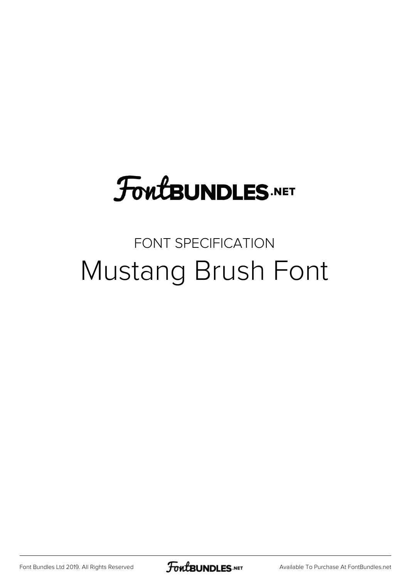# FoutBUNDLES.NET

## FONT SPECIFICATION Mustang Brush Font

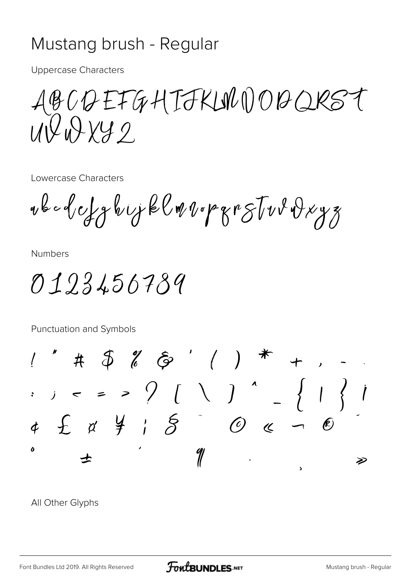#### Mustang brush - Regular

**Uppercase Characters** 

ABCQEFGHIJKLNOOBQRST  $U\sqrt{2}W\sqrt{2}V$ 

Lowercase Characters

vbcdefghijklmvopgrstvvdxyz

**Numbers** 

0123456789

Punctuation and Symbols

 $1''$  # \$ % & ' ( ) \* + , -<br>
. , < = > ? [ \ ] ^ \_ { | } |  $4\quad \ \ \mathcal{L}\quad \ \ \alpha\quad \ \ \, \frac{\omega}{f}\quad \ \ \, \frac{\omega}{f}\qquad \quad \ \mathcal{O}\quad \ \ \, \alpha\quad \ \ \, \frac{\omega}{f}\qquad \quad \ \mathcal{O}\quad \ \ \, \alpha\quad \ \ \, \frac{\omega}{f}\qquad \quad \ \mathcal{O}\quad \ \ \, \alpha\quad \ \ \, \frac{\omega}{f}\qquad \quad \ \, \mathcal{O}\quad \ \ \, \alpha\quad \ \ \, \frac{\omega}{f}\qquad \quad \ \, \mathcal{O}\quad \ \, \alpha\quad \$ Þ

All Other Glyphs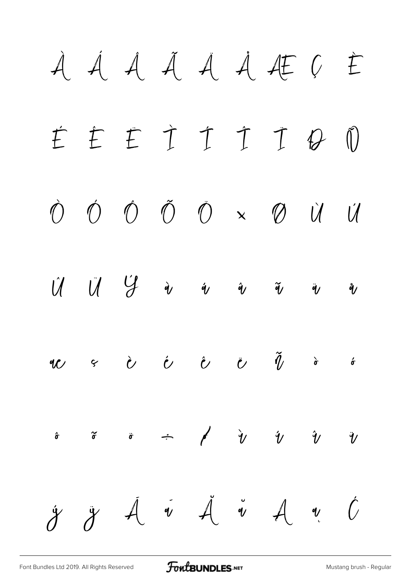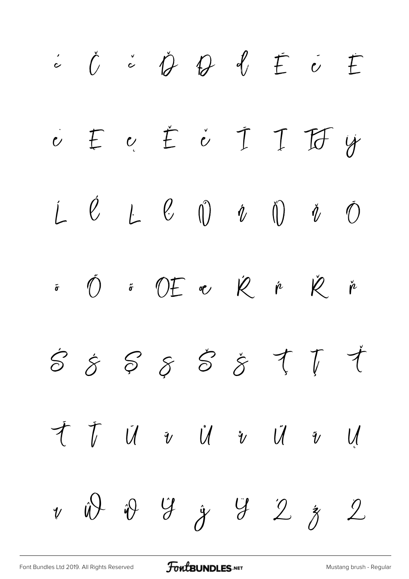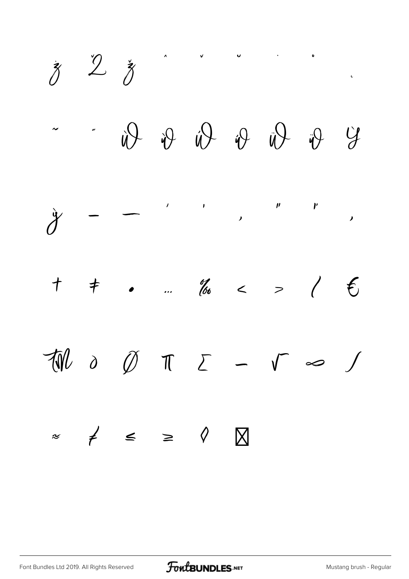$\zeta$   $2\zeta$  $\ddot{y}$   $\ddot{y}$   $\ddot{y}$   $\ddot{y}$   $\ddot{y}$   $\dddot{y}$  $\mathcal{Y}$  – –  $'$  $\overline{\phantom{a}}$  $\mathbf{v}$   $\mathbf{v}$ ' "  $\begin{array}{c}\n\bullet \\
\bullet \\
\bullet\n\end{array}$ † ‡ • … ‰ ‹ › ⁄ € ™ ∂ ∅ ∏ ∑ − √ ∞ ∫ ≈ ≠ ≤ ≥ ◊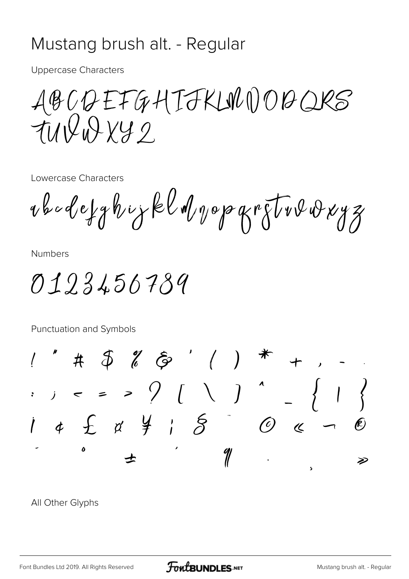#### Mustang brush alt. - Regular

**Uppercase Characters** 

ABCQEFGHIJKLNDOQQRS

Lowercase Characters

rbadefghiykldvopgretvorvyz

**Numbers** 

0123456789

Punctuation and Symbols

 $1''$  #  $\oint$   $\ell$   $\hat{\varphi}$  ' ( ) \* :  $j = 3$  ( )<br>  $j \neq 5$  ( )  $^4$ 4 £ a ¥ ; §  $\mathcal{O}$   $\kappa$ Þ

All Other Glyphs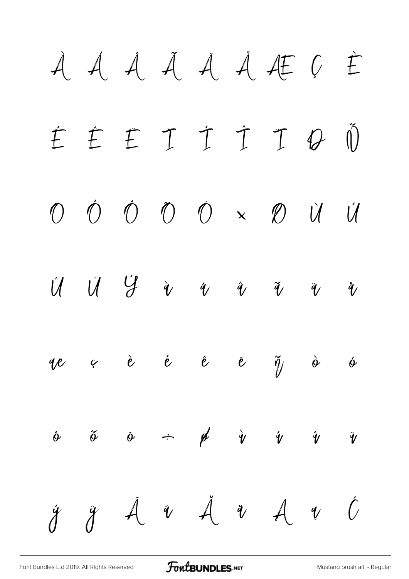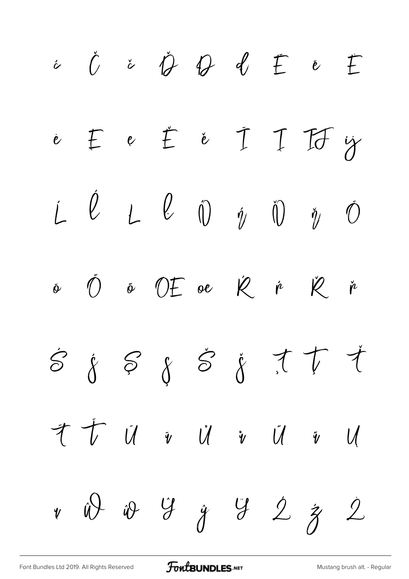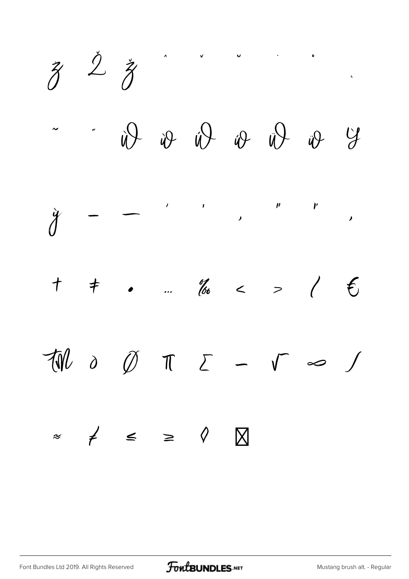$\begin{matrix} z & \zeta & \zeta \end{matrix}$  $\overline{u}$  ,  $\overline{u}$  $\ddot{\phantom{0}}$  $\bigtriangledown \psi \quad \psi \quad \psi \quad \psi \quad \psi$  $\begin{array}{c}\n\bullet \\
\bullet \\
\bullet\n\end{array}$  $\check{\check{\mathcal{J}}}$  $\mathcal{L}$  $\pm$  .  $\frac{d}{dx}$  < >  $\pm$   $\epsilon$  $\mathcal{L}$  $\overline{\mathcal{W}}$  $\partial$   $\emptyset$   $\pi$   $\Sigma$   $\sim$   $\sqrt{ }$   $\infty$  $\int$  $\approx$   $\neq$   $\leq$   $\geq$   $\Diamond$  $\boxtimes$ 

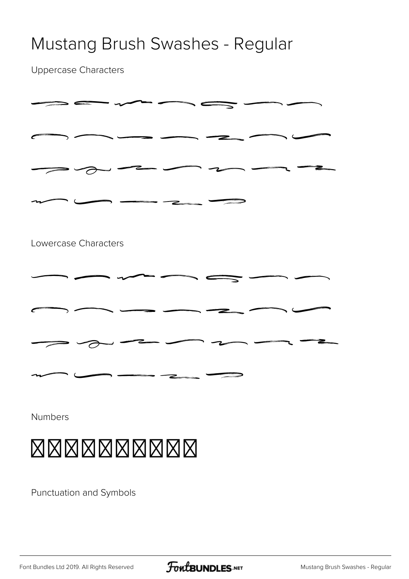#### Mustang Brush Swashes - Regular

Uppercase Characters

|                      | $\mathbf{z}$                                                                                                                                                                                                                                          |  |
|----------------------|-------------------------------------------------------------------------------------------------------------------------------------------------------------------------------------------------------------------------------------------------------|--|
| Lowercase Characters |                                                                                                                                                                                                                                                       |  |
|                      |                                                                                                                                                                                                                                                       |  |
|                      |                                                                                                                                                                                                                                                       |  |
|                      | ⋍                                                                                                                                                                                                                                                     |  |
|                      | <b><i><u> Andrew Commercial Commercial Commercial Commercial Commercial Commercial Commercial Commercial Commercial Commercial Commercial Commercial Commercial Commercial Commercial Commercial Commercial Commercial Commercial Co</u></i></b><br>z |  |
| Numbers              |                                                                                                                                                                                                                                                       |  |

### 0123456789

Punctuation and Symbols